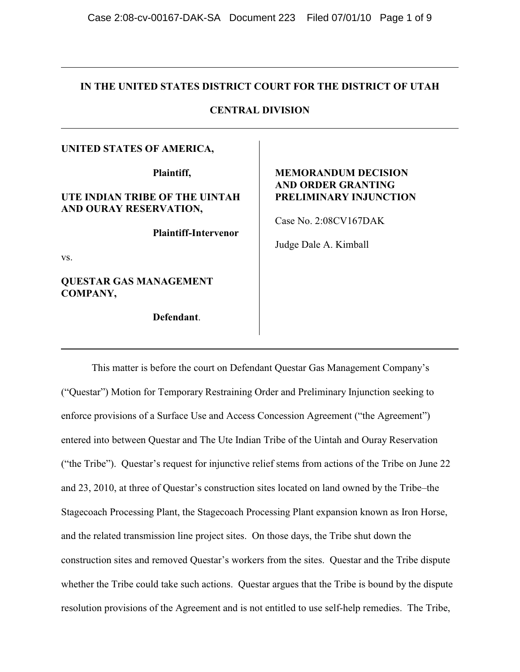## **IN THE UNITED STATES DISTRICT COURT FOR THE DISTRICT OF UTAH**

# **CENTRAL DIVISION**

## **UNITED STATES OF AMERICA,**

**Plaintiff,**

# **UTE INDIAN TRIBE OF THE UINTAH AND OURAY RESERVATION,**

**Plaintiff-Intervenor**

vs.

**QUESTAR GAS MANAGEMENT COMPANY,**

**Defendant**.

# **MEMORANDUM DECISION AND ORDER GRANTING PRELIMINARY INJUNCTION**

Case No. 2:08CV167DAK

Judge Dale A. Kimball

This matter is before the court on Defendant Questar Gas Management Company's ("Questar") Motion for Temporary Restraining Order and Preliminary Injunction seeking to enforce provisions of a Surface Use and Access Concession Agreement ("the Agreement") entered into between Questar and The Ute Indian Tribe of the Uintah and Ouray Reservation ("the Tribe"). Questar's request for injunctive relief stems from actions of the Tribe on June 22 and 23, 2010, at three of Questar's construction sites located on land owned by the Tribe–the Stagecoach Processing Plant, the Stagecoach Processing Plant expansion known as Iron Horse, and the related transmission line project sites. On those days, the Tribe shut down the construction sites and removed Questar's workers from the sites. Questar and the Tribe dispute whether the Tribe could take such actions. Questar argues that the Tribe is bound by the dispute resolution provisions of the Agreement and is not entitled to use self-help remedies. The Tribe,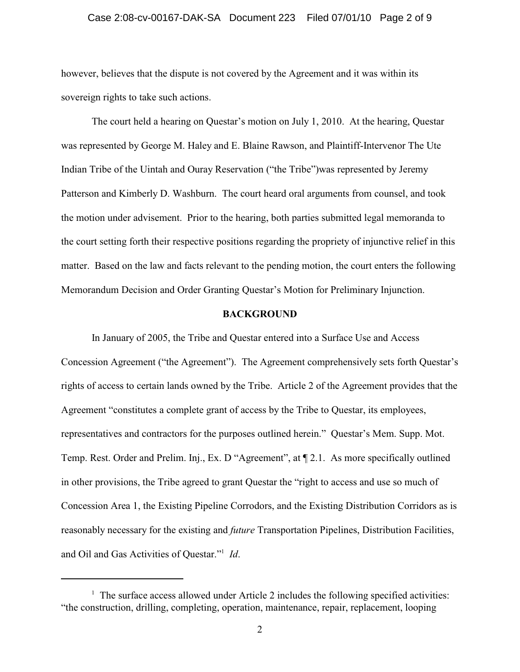#### Case 2:08-cv-00167-DAK-SA Document 223 Filed 07/01/10 Page 2 of 9

however, believes that the dispute is not covered by the Agreement and it was within its sovereign rights to take such actions.

The court held a hearing on Questar's motion on July 1, 2010. At the hearing, Questar was represented by George M. Haley and E. Blaine Rawson, and Plaintiff-Intervenor The Ute Indian Tribe of the Uintah and Ouray Reservation ("the Tribe")was represented by Jeremy Patterson and Kimberly D. Washburn. The court heard oral arguments from counsel, and took the motion under advisement. Prior to the hearing, both parties submitted legal memoranda to the court setting forth their respective positions regarding the propriety of injunctive relief in this matter. Based on the law and facts relevant to the pending motion, the court enters the following Memorandum Decision and Order Granting Questar's Motion for Preliminary Injunction.

## **BACKGROUND**

In January of 2005, the Tribe and Questar entered into a Surface Use and Access Concession Agreement ("the Agreement"). The Agreement comprehensively sets forth Questar's rights of access to certain lands owned by the Tribe. Article 2 of the Agreement provides that the Agreement "constitutes a complete grant of access by the Tribe to Questar, its employees, representatives and contractors for the purposes outlined herein." Questar's Mem. Supp. Mot. Temp. Rest. Order and Prelim. Inj., Ex. D "Agreement", at ¶ 2.1. As more specifically outlined in other provisions, the Tribe agreed to grant Questar the "right to access and use so much of Concession Area 1, the Existing Pipeline Corrodors, and the Existing Distribution Corridors as is reasonably necessary for the existing and *future* Transportation Pipelines, Distribution Facilities, and Oil and Gas Activities of Questar."<sup>1</sup> Id.

 $\frac{1}{1}$  The surface access allowed under Article 2 includes the following specified activities: "the construction, drilling, completing, operation, maintenance, repair, replacement, looping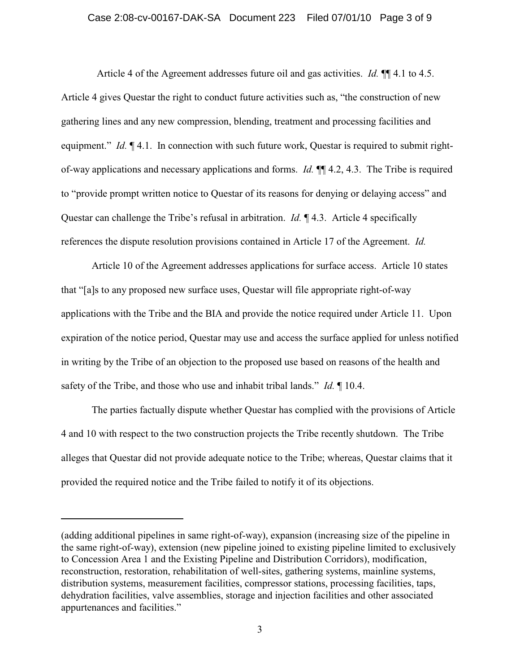## Case 2:08-cv-00167-DAK-SA Document 223 Filed 07/01/10 Page 3 of 9

 Article 4 of the Agreement addresses future oil and gas activities. *Id.* ¶¶ 4.1 to 4.5. Article 4 gives Questar the right to conduct future activities such as, "the construction of new gathering lines and any new compression, blending, treatment and processing facilities and equipment." *Id.*  $\P$  4.1. In connection with such future work, Questar is required to submit rightof-way applications and necessary applications and forms. *Id.* ¶¶ 4.2, 4.3. The Tribe is required to "provide prompt written notice to Questar of its reasons for denying or delaying access" and Questar can challenge the Tribe's refusal in arbitration. *Id.* ¶ 4.3. Article 4 specifically references the dispute resolution provisions contained in Article 17 of the Agreement. *Id.*

Article 10 of the Agreement addresses applications for surface access. Article 10 states that "[a]s to any proposed new surface uses, Questar will file appropriate right-of-way applications with the Tribe and the BIA and provide the notice required under Article 11. Upon expiration of the notice period, Questar may use and access the surface applied for unless notified in writing by the Tribe of an objection to the proposed use based on reasons of the health and safety of the Tribe, and those who use and inhabit tribal lands." *Id.* ¶ 10.4.

The parties factually dispute whether Questar has complied with the provisions of Article 4 and 10 with respect to the two construction projects the Tribe recently shutdown. The Tribe alleges that Questar did not provide adequate notice to the Tribe; whereas, Questar claims that it provided the required notice and the Tribe failed to notify it of its objections.

<sup>(</sup>adding additional pipelines in same right-of-way), expansion (increasing size of the pipeline in the same right-of-way), extension (new pipeline joined to existing pipeline limited to exclusively to Concession Area 1 and the Existing Pipeline and Distribution Corridors), modification, reconstruction, restoration, rehabilitation of well-sites, gathering systems, mainline systems, distribution systems, measurement facilities, compressor stations, processing facilities, taps, dehydration facilities, valve assemblies, storage and injection facilities and other associated appurtenances and facilities."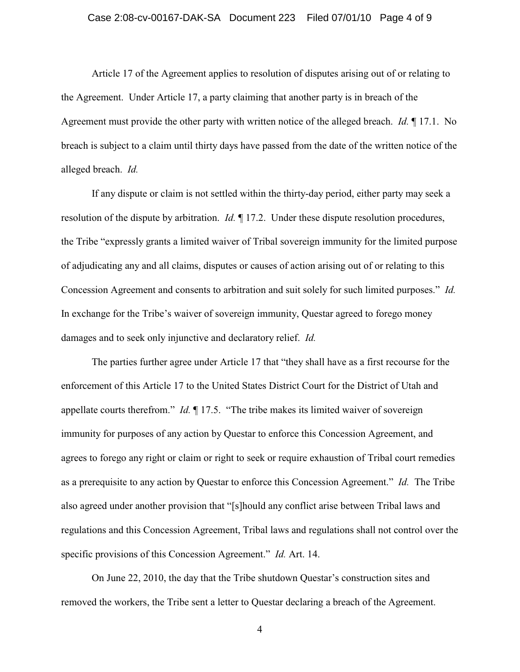#### Case 2:08-cv-00167-DAK-SA Document 223 Filed 07/01/10 Page 4 of 9

Article 17 of the Agreement applies to resolution of disputes arising out of or relating to the Agreement. Under Article 17, a party claiming that another party is in breach of the Agreement must provide the other party with written notice of the alleged breach. *Id.* ¶ 17.1. No breach is subject to a claim until thirty days have passed from the date of the written notice of the alleged breach. *Id.* 

If any dispute or claim is not settled within the thirty-day period, either party may seek a resolution of the dispute by arbitration. *Id.* ¶ 17.2. Under these dispute resolution procedures, the Tribe "expressly grants a limited waiver of Tribal sovereign immunity for the limited purpose of adjudicating any and all claims, disputes or causes of action arising out of or relating to this Concession Agreement and consents to arbitration and suit solely for such limited purposes." *Id.*  In exchange for the Tribe's waiver of sovereign immunity, Questar agreed to forego money damages and to seek only injunctive and declaratory relief. *Id.*

The parties further agree under Article 17 that "they shall have as a first recourse for the enforcement of this Article 17 to the United States District Court for the District of Utah and appellate courts therefrom." *Id.* ¶ 17.5. "The tribe makes its limited waiver of sovereign immunity for purposes of any action by Questar to enforce this Concession Agreement, and agrees to forego any right or claim or right to seek or require exhaustion of Tribal court remedies as a prerequisite to any action by Questar to enforce this Concession Agreement." *Id.* The Tribe also agreed under another provision that "[s]hould any conflict arise between Tribal laws and regulations and this Concession Agreement, Tribal laws and regulations shall not control over the specific provisions of this Concession Agreement." *Id.* Art. 14.

On June 22, 2010, the day that the Tribe shutdown Questar's construction sites and removed the workers, the Tribe sent a letter to Questar declaring a breach of the Agreement.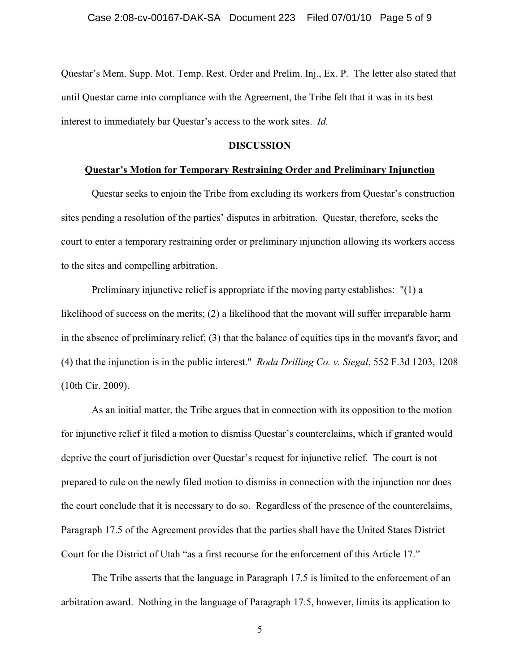Questar's Mem. Supp. Mot. Temp. Rest. Order and Prelim. Inj., Ex. P. The letter also stated that until Questar came into compliance with the Agreement, the Tribe felt that it was in its best interest to immediately bar Questar's access to the work sites. *Id.*

## **DISCUSSION**

## **Questar's Motion for Temporary Restraining Order and Preliminary Injunction**

Questar seeks to enjoin the Tribe from excluding its workers from Questar's construction sites pending a resolution of the parties' disputes in arbitration. Questar, therefore, seeks the court to enter a temporary restraining order or preliminary injunction allowing its workers access to the sites and compelling arbitration.

Preliminary injunctive relief is appropriate if the moving party establishes: "(1) a likelihood of success on the merits; (2) a likelihood that the movant will suffer irreparable harm in the absence of preliminary relief; (3) that the balance of equities tips in the movant's favor; and (4) that the injunction is in the public interest." *Roda Drilling Co. v. Siegal*, 552 F.3d 1203, 1208 (10th Cir. 2009).

As an initial matter, the Tribe argues that in connection with its opposition to the motion for injunctive relief it filed a motion to dismiss Questar's counterclaims, which if granted would deprive the court of jurisdiction over Questar's request for injunctive relief. The court is not prepared to rule on the newly filed motion to dismiss in connection with the injunction nor does the court conclude that it is necessary to do so. Regardless of the presence of the counterclaims, Paragraph 17.5 of the Agreement provides that the parties shall have the United States District Court for the District of Utah "as a first recourse for the enforcement of this Article 17."

The Tribe asserts that the language in Paragraph 17.5 is limited to the enforcement of an arbitration award. Nothing in the language of Paragraph 17.5, however, limits its application to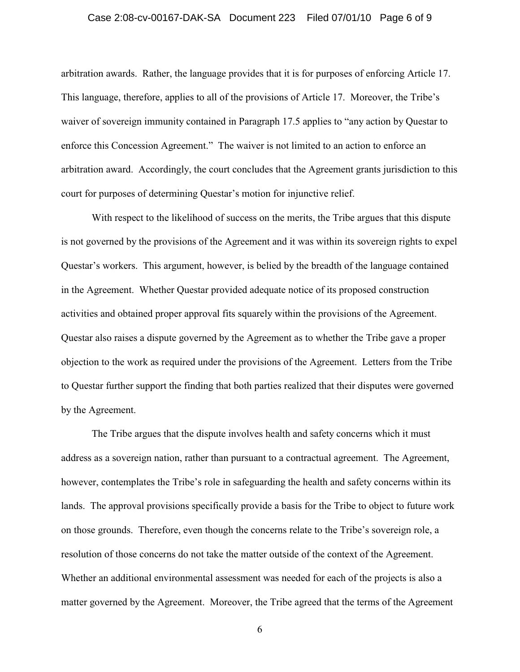#### Case 2:08-cv-00167-DAK-SA Document 223 Filed 07/01/10 Page 6 of 9

arbitration awards. Rather, the language provides that it is for purposes of enforcing Article 17. This language, therefore, applies to all of the provisions of Article 17. Moreover, the Tribe's waiver of sovereign immunity contained in Paragraph 17.5 applies to "any action by Questar to enforce this Concession Agreement." The waiver is not limited to an action to enforce an arbitration award. Accordingly, the court concludes that the Agreement grants jurisdiction to this court for purposes of determining Questar's motion for injunctive relief.

With respect to the likelihood of success on the merits, the Tribe argues that this dispute is not governed by the provisions of the Agreement and it was within its sovereign rights to expel Questar's workers. This argument, however, is belied by the breadth of the language contained in the Agreement. Whether Questar provided adequate notice of its proposed construction activities and obtained proper approval fits squarely within the provisions of the Agreement. Questar also raises a dispute governed by the Agreement as to whether the Tribe gave a proper objection to the work as required under the provisions of the Agreement. Letters from the Tribe to Questar further support the finding that both parties realized that their disputes were governed by the Agreement.

The Tribe argues that the dispute involves health and safety concerns which it must address as a sovereign nation, rather than pursuant to a contractual agreement. The Agreement, however, contemplates the Tribe's role in safeguarding the health and safety concerns within its lands. The approval provisions specifically provide a basis for the Tribe to object to future work on those grounds. Therefore, even though the concerns relate to the Tribe's sovereign role, a resolution of those concerns do not take the matter outside of the context of the Agreement. Whether an additional environmental assessment was needed for each of the projects is also a matter governed by the Agreement. Moreover, the Tribe agreed that the terms of the Agreement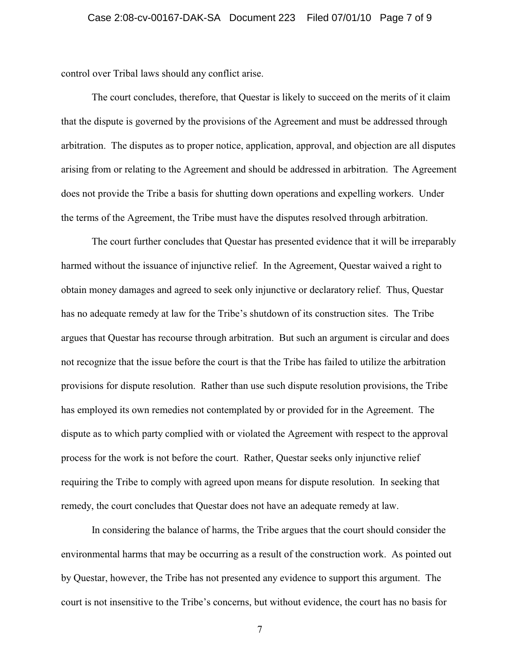control over Tribal laws should any conflict arise.

The court concludes, therefore, that Questar is likely to succeed on the merits of it claim that the dispute is governed by the provisions of the Agreement and must be addressed through arbitration. The disputes as to proper notice, application, approval, and objection are all disputes arising from or relating to the Agreement and should be addressed in arbitration. The Agreement does not provide the Tribe a basis for shutting down operations and expelling workers. Under the terms of the Agreement, the Tribe must have the disputes resolved through arbitration.

The court further concludes that Questar has presented evidence that it will be irreparably harmed without the issuance of injunctive relief. In the Agreement, Questar waived a right to obtain money damages and agreed to seek only injunctive or declaratory relief. Thus, Questar has no adequate remedy at law for the Tribe's shutdown of its construction sites. The Tribe argues that Questar has recourse through arbitration. But such an argument is circular and does not recognize that the issue before the court is that the Tribe has failed to utilize the arbitration provisions for dispute resolution. Rather than use such dispute resolution provisions, the Tribe has employed its own remedies not contemplated by or provided for in the Agreement. The dispute as to which party complied with or violated the Agreement with respect to the approval process for the work is not before the court. Rather, Questar seeks only injunctive relief requiring the Tribe to comply with agreed upon means for dispute resolution. In seeking that remedy, the court concludes that Questar does not have an adequate remedy at law.

In considering the balance of harms, the Tribe argues that the court should consider the environmental harms that may be occurring as a result of the construction work. As pointed out by Questar, however, the Tribe has not presented any evidence to support this argument. The court is not insensitive to the Tribe's concerns, but without evidence, the court has no basis for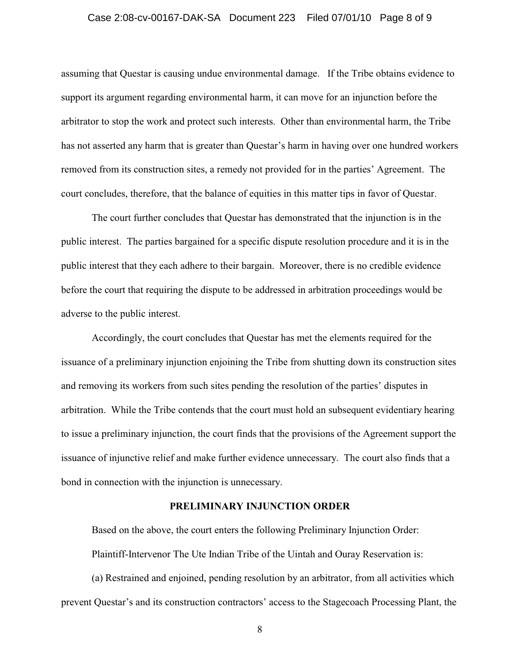#### Case 2:08-cv-00167-DAK-SA Document 223 Filed 07/01/10 Page 8 of 9

assuming that Questar is causing undue environmental damage. If the Tribe obtains evidence to support its argument regarding environmental harm, it can move for an injunction before the arbitrator to stop the work and protect such interests. Other than environmental harm, the Tribe has not asserted any harm that is greater than Questar's harm in having over one hundred workers removed from its construction sites, a remedy not provided for in the parties' Agreement. The court concludes, therefore, that the balance of equities in this matter tips in favor of Questar.

The court further concludes that Questar has demonstrated that the injunction is in the public interest. The parties bargained for a specific dispute resolution procedure and it is in the public interest that they each adhere to their bargain. Moreover, there is no credible evidence before the court that requiring the dispute to be addressed in arbitration proceedings would be adverse to the public interest.

Accordingly, the court concludes that Questar has met the elements required for the issuance of a preliminary injunction enjoining the Tribe from shutting down its construction sites and removing its workers from such sites pending the resolution of the parties' disputes in arbitration. While the Tribe contends that the court must hold an subsequent evidentiary hearing to issue a preliminary injunction, the court finds that the provisions of the Agreement support the issuance of injunctive relief and make further evidence unnecessary. The court also finds that a bond in connection with the injunction is unnecessary.

## **PRELIMINARY INJUNCTION ORDER**

Based on the above, the court enters the following Preliminary Injunction Order: Plaintiff-Intervenor The Ute Indian Tribe of the Uintah and Ouray Reservation is:

(a) Restrained and enjoined, pending resolution by an arbitrator, from all activities which prevent Questar's and its construction contractors' access to the Stagecoach Processing Plant, the